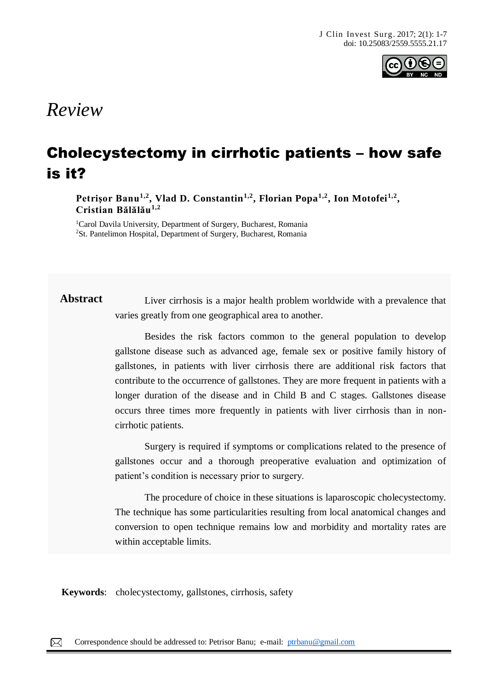

## *Review*

# Cholecystectomy in cirrhotic patients – how safe is it?

**Petrişor Banu1,2, Vlad D. Constantin1,2, Florian Popa1,2, Ion Motofei1,2 , Cristian Bălălău1,2**

<sup>1</sup>Carol Davila University, Department of Surgery, Bucharest, Romania <sup>2</sup>St. Pantelimon Hospital, Department of Surgery, Bucharest, Romania

**Abstract** Liver cirrhosis is a major health problem worldwide with a prevalence that varies greatly from one geographical area to another.

> Besides the risk factors common to the general population to develop gallstone disease such as advanced age, female sex or positive family history of gallstones, in patients with liver cirrhosis there are additional risk factors that contribute to the occurrence of gallstones. They are more frequent in patients with a longer duration of the disease and in Child B and C stages. Gallstones disease occurs three times more frequently in patients with liver cirrhosis than in noncirrhotic patients.

> Surgery is required if symptoms or complications related to the presence of gallstones occur and a thorough preoperative evaluation and optimization of patient's condition is necessary prior to surgery.

> The procedure of choice in these situations is laparoscopic cholecystectomy. The technique has some particularities resulting from local anatomical changes and conversion to open technique remains low and morbidity and mortality rates are within acceptable limits.

**Keywords**: cholecystectomy, gallstones, cirrhosis, safety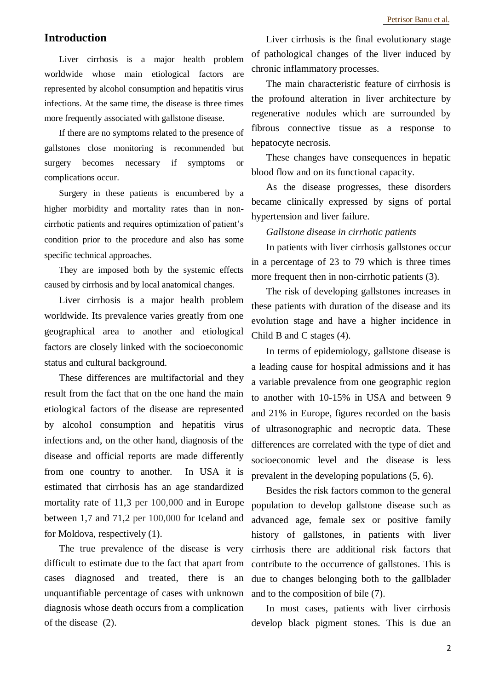## **Introduction**

Liver cirrhosis is a major health problem worldwide whose main etiological factors are represented by alcohol consumption and hepatitis virus infections. At the same time, the disease is three times more frequently associated with gallstone disease.

If there are no symptoms related to the presence of gallstones close monitoring is recommended but surgery becomes necessary if symptoms or complications occur.

Surgery in these patients is encumbered by a higher morbidity and mortality rates than in noncirrhotic patients and requires optimization of patient's condition prior to the procedure and also has some specific technical approaches.

They are imposed both by the systemic effects caused by cirrhosis and by local anatomical changes.

Liver cirrhosis is a major health problem worldwide. Its prevalence varies greatly from one geographical area to another and etiological factors are closely linked with the socioeconomic status and cultural background.

These differences are multifactorial and they result from the fact that on the one hand the main etiological factors of the disease are represented by alcohol consumption and hepatitis virus infections and, on the other hand, diagnosis of the disease and official reports are made differently from one country to another. In USA it is estimated that cirrhosis has an age standardized mortality rate of 11,3 per 100,000 and in Europe between 1,7 and 71,2 per 100,000 for Iceland and for Moldova, respectively (1).

The true prevalence of the disease is very difficult to estimate due to the fact that apart from cases diagnosed and treated, there is an unquantifiable percentage of cases with unknown diagnosis whose death occurs from a complication of the disease (2).

Liver cirrhosis is the final evolutionary stage of pathological changes of the liver induced by chronic inflammatory processes.

The main characteristic feature of cirrhosis is the profound alteration in liver architecture by regenerative nodules which are surrounded by fibrous connective tissue as a response to hepatocyte necrosis.

These changes have consequences in hepatic blood flow and on its functional capacity.

As the disease progresses, these disorders became clinically expressed by signs of portal hypertension and liver failure.

#### *Gallstone disease in cirrhotic patients*

In patients with liver cirrhosis gallstones occur in a percentage of 23 to 79 which is three times more frequent then in non-cirrhotic patients (3).

The risk of developing gallstones increases in these patients with duration of the disease and its evolution stage and have a higher incidence in Child B and C stages (4).

In terms of epidemiology, gallstone disease is a leading cause for hospital admissions and it has a variable prevalence from one geographic region to another with 10-15% in USA and between 9 and 21% in Europe, figures recorded on the basis of ultrasonographic and necroptic data. These differences are correlated with the type of diet and socioeconomic level and the disease is less prevalent in the developing populations (5, 6).

Besides the risk factors common to the general population to develop gallstone disease such as advanced age, female sex or positive family history of gallstones, in patients with liver cirrhosis there are additional risk factors that contribute to the occurrence of gallstones. This is due to changes belonging both to the gallblader and to the composition of bile (7).

In most cases, patients with liver cirrhosis develop black pigment stones. This is due an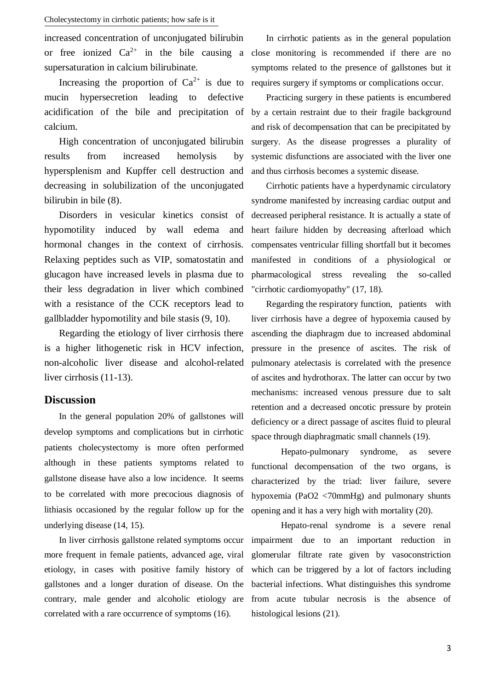increased concentration of unconjugated bilirubin supersaturation in calcium bilirubinate.

Increasing the proportion of  $Ca^{2+}$  is due to mucin hypersecretion leading to defective acidification of the bile and precipitation of calcium.

High concentration of unconjugated bilirubin results from increased hemolysis by hypersplenism and Kupffer cell destruction and decreasing in solubilization of the unconjugated bilirubin in bile (8).

Disorders in vesicular kinetics consist of hypomotility induced by wall edema and hormonal changes in the context of cirrhosis. Relaxing peptides such as VIP, somatostatin and glucagon have increased levels in plasma due to their less degradation in liver which combined with a resistance of the CCK receptors lead to gallbladder hypomotility and bile stasis (9, 10).

Regarding the etiology of liver cirrhosis there is a higher lithogenetic risk in HCV infection, non-alcoholic liver disease and alcohol-related liver cirrhosis (11-13).

### **Discussion**

In the general population 20% of gallstones will develop symptoms and complications but in cirrhotic patients cholecystectomy is more often performed although in these patients symptoms related to gallstone disease have also a low incidence. It seems to be correlated with more precocious diagnosis of lithiasis occasioned by the regular follow up for the underlying disease (14, 15).

In liver cirrhosis gallstone related symptoms occur more frequent in female patients, advanced age, viral etiology, in cases with positive family history of gallstones and a longer duration of disease. On the contrary, male gender and alcoholic etiology are correlated with a rare occurrence of symptoms (16).

or free ionized  $Ca^{2+}$  in the bile causing a close monitoring is recommended if there are no In cirrhotic patients as in the general population symptoms related to the presence of gallstones but it requires surgery if symptoms or complications occur.

> Practicing surgery in these patients is encumbered by a certain restraint due to their fragile background and risk of decompensation that can be precipitated by surgery. As the disease progresses a plurality of systemic disfunctions are associated with the liver one and thus cirrhosis becomes a systemic disease.

> Cirrhotic patients have a hyperdynamic circulatory syndrome manifested by increasing cardiac output and decreased peripheral resistance. It is actually a state of heart failure hidden by decreasing afterload which compensates ventricular filling shortfall but it becomes manifested in conditions of a physiological or pharmacological stress revealing the so-called "cirrhotic cardiomyopathy" (17, 18).

> Regarding the respiratory function, patients with liver cirrhosis have a degree of hypoxemia caused by ascending the diaphragm due to increased abdominal pressure in the presence of ascites. The risk of pulmonary atelectasis is correlated with the presence of ascites and hydrothorax. The latter can occur by two mechanisms: increased venous pressure due to salt retention and a decreased oncotic pressure by protein deficiency or a direct passage of ascites fluid to pleural space through diaphragmatic small channels (19).

> Hepato-pulmonary syndrome, as severe functional decompensation of the two organs, is characterized by the triad: liver failure, severe hypoxemia (PaO2 <70mmHg) and pulmonary shunts opening and it has a very high with mortality (20).

> Hepato-renal syndrome is a severe renal impairment due to an important reduction in glomerular filtrate rate given by vasoconstriction which can be triggered by a lot of factors including bacterial infections. What distinguishes this syndrome from acute tubular necrosis is the absence of histological lesions (21).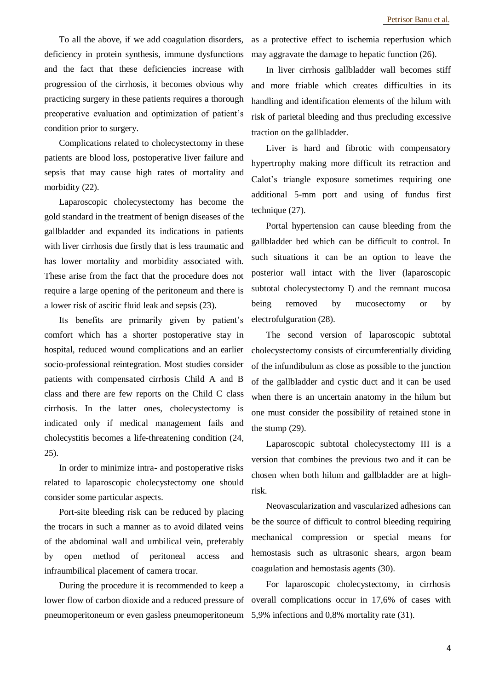To all the above, if we add coagulation disorders, deficiency in protein synthesis, immune dysfunctions and the fact that these deficiencies increase with progression of the cirrhosis, it becomes obvious why practicing surgery in these patients requires a thorough preoperative evaluation and optimization of patient's condition prior to surgery.

Complications related to cholecystectomy in these patients are blood loss, postoperative liver failure and sepsis that may cause high rates of mortality and morbidity (22).

Laparoscopic cholecystectomy has become the gold standard in the treatment of benign diseases of the gallbladder and expanded its indications in patients with liver cirrhosis due firstly that is less traumatic and has lower mortality and morbidity associated with. These arise from the fact that the procedure does not require a large opening of the peritoneum and there is a lower risk of ascitic fluid leak and sepsis (23).

Its benefits are primarily given by patient's comfort which has a shorter postoperative stay in hospital, reduced wound complications and an earlier socio-professional reintegration. Most studies consider patients with compensated cirrhosis Child A and B class and there are few reports on the Child C class cirrhosis. In the latter ones, cholecystectomy is indicated only if medical management fails and cholecystitis becomes a life-threatening condition (24, 25).

In order to minimize intra- and postoperative risks related to laparoscopic cholecystectomy one should consider some particular aspects.

Port-site bleeding risk can be reduced by placing the trocars in such a manner as to avoid dilated veins of the abdominal wall and umbilical vein, preferably by open method of peritoneal access and infraumbilical placement of camera trocar.

During the procedure it is recommended to keep a lower flow of carbon dioxide and a reduced pressure of pneumoperitoneum or even gasless pneumoperitoneum 5,9% infections and 0,8% mortality rate (31).

as a protective effect to ischemia reperfusion which may aggravate the damage to hepatic function (26).

In liver cirrhosis gallbladder wall becomes stiff and more friable which creates difficulties in its handling and identification elements of the hilum with risk of parietal bleeding and thus precluding excessive traction on the gallbladder.

Liver is hard and fibrotic with compensatory hypertrophy making more difficult its retraction and Calot's triangle exposure sometimes requiring one additional 5-mm port and using of fundus first technique (27).

Portal hypertension can cause bleeding from the gallbladder bed which can be difficult to control. In such situations it can be an option to leave the posterior wall intact with the liver (laparoscopic subtotal cholecystectomy I) and the remnant mucosa being removed by mucosectomy or by electrofulguration (28).

The second version of laparoscopic subtotal cholecystectomy consists of circumferentially dividing of the infundibulum as close as possible to the junction of the gallbladder and cystic duct and it can be used when there is an uncertain anatomy in the hilum but one must consider the possibility of retained stone in the stump (29).

Laparoscopic subtotal cholecystectomy III is a version that combines the previous two and it can be chosen when both hilum and gallbladder are at highrisk.

Neovascularization and vascularized adhesions can be the source of difficult to control bleeding requiring mechanical compression or special means for hemostasis such as ultrasonic shears, argon beam coagulation and hemostasis agents (30).

For laparoscopic cholecystectomy, in cirrhosis overall complications occur in 17,6% of cases with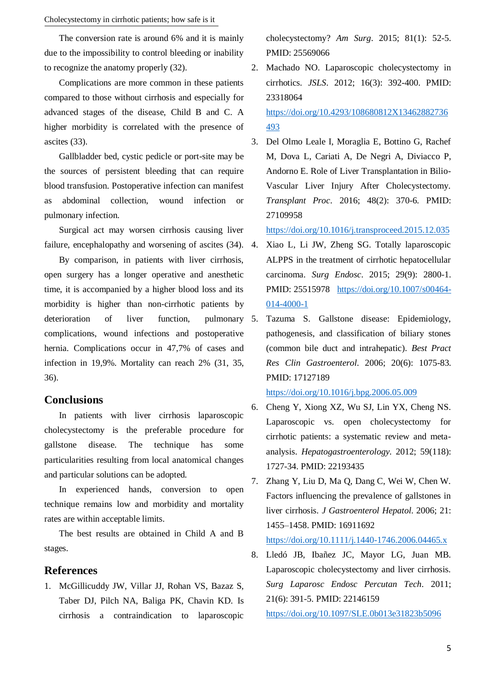The conversion rate is around 6% and it is mainly due to the impossibility to control bleeding or inability to recognize the anatomy properly (32).

Complications are more common in these patients compared to those without cirrhosis and especially for advanced stages of the disease, Child B and C. A higher morbidity is correlated with the presence of ascites (33).

Gallbladder bed, cystic pedicle or port-site may be the sources of persistent bleeding that can require blood transfusion. Postoperative infection can manifest as abdominal collection, wound infection or pulmonary infection.

Surgical act may worsen cirrhosis causing liver failure, encephalopathy and worsening of ascites  $(34)$ . 4.

By comparison, in patients with liver cirrhosis, open surgery has a longer operative and anesthetic time, it is accompanied by a higher blood loss and its morbidity is higher than non-cirrhotic patients by deterioration of liver function, pulmonary 5. complications, wound infections and postoperative hernia. Complications occur in 47,7% of cases and infection in 19,9%. Mortality can reach 2% (31, 35, 36).

#### **Conclusions**

In patients with liver cirrhosis laparoscopic cholecystectomy is the preferable procedure for gallstone disease. The technique has some particularities resulting from local anatomical changes and particular solutions can be adopted.

In experienced hands, conversion to open technique remains low and morbidity and mortality rates are within acceptable limits.

The best results are obtained in Child A and B stages.

### **References**

1. McGillicuddy JW, Villar JJ, Rohan VS, Bazaz S, Taber DJ, Pilch NA, Baliga PK, Chavin KD. Is cirrhosis a contraindication to laparoscopic cholecystectomy? *Am Surg*. 2015; 81(1): 52-5. PMID: 25569066

- 2. Machado NO. Laparoscopic cholecystectomy in cirrhotics. *JSLS*. 2012; 16(3): 392-400. PMID: 23318064 [https://doi.org/10.4293/108680812X13462882736](https://doi.org/10.4293/108680812X13462882736493) [493](https://doi.org/10.4293/108680812X13462882736493)
- 3. Del Olmo Leale I, Moraglia E, Bottino G, Rachef M, Dova L, Cariati A, De Negri A, Diviacco P, Andorno E. Role of Liver Transplantation in Bilio-Vascular Liver Injury After Cholecystectomy. *Transplant Proc*. 2016; 48(2): 370-6. PMID: 27109958

<https://doi.org/10.1016/j.transproceed.2015.12.035>

- 4. Xiao L, Li JW, Zheng SG. Totally laparoscopic ALPPS in the treatment of cirrhotic hepatocellular carcinoma. *Surg Endosc*. 2015; 29(9): 2800-1. PMID: 25515978 [https://doi.org/10.1007/s00464-](https://doi.org/10.1007/s00464-014-4000-1) [014-4000-1](https://doi.org/10.1007/s00464-014-4000-1)
- 5. Tazuma S. Gallstone disease: Epidemiology, pathogenesis, and classification of biliary stones (common bile duct and intrahepatic). *Best Pract Res Clin Gastroenterol*. 2006; 20(6): 1075-83. PMID: 17127189

<https://doi.org/10.1016/j.bpg.2006.05.009>

- 6. Cheng Y, Xiong XZ, Wu SJ, Lin YX, Cheng NS. Laparoscopic vs. open cholecystectomy for cirrhotic patients: a systematic review and metaanalysis. *Hepatogastroenterology*. 2012; 59(118): 1727-34. PMID: 22193435
- 7. Zhang Y, Liu D, Ma Q, Dang C, Wei W, Chen W. Factors influencing the prevalence of gallstones in liver cirrhosis. *J Gastroenterol Hepatol*. 2006; 21: 1455–1458. PMID: 16911692 <https://doi.org/10.1111/j.1440-1746.2006.04465.x>
- 8. Lledó JB, Ibañez JC, Mayor LG, Juan MB. Laparoscopic cholecystectomy and liver cirrhosis. *Surg Laparosc Endosc Percutan Tech*. 2011; 21(6): 391-5. PMID: 22146159 <https://doi.org/10.1097/SLE.0b013e31823b5096>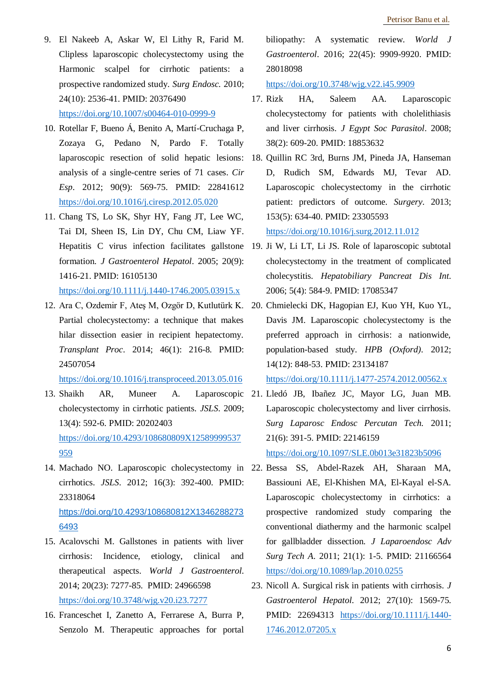- 9. El Nakeeb A, Askar W, El Lithy R, Farid M. Clipless laparoscopic cholecystectomy using the Harmonic scalpel for cirrhotic patients: a prospective randomized study. *Surg Endosc.* 2010; 24(10): 2536-41. PMID: 20376490 <https://doi.org/10.1007/s00464-010-0999-9>
- 10. Rotellar F, Bueno Á, Benito A, Martí-Cruchaga P, Zozaya G, Pedano N, Pardo F. Totally analysis of a single-centre series of 71 cases. *Cir Esp*. 2012; 90(9): 569-75. PMID: 22841612 <https://doi.org/10.1016/j.ciresp.2012.05.020>
- 11. Chang TS, Lo SK, Shyr HY, Fang JT, Lee WC, Tai DI, Sheen IS, Lin DY, Chu CM, Liaw YF. Hepatitis C virus infection facilitates gallstone formation. *J Gastroenterol Hepatol*. 2005; 20(9): 1416-21. PMID: 16105130 <https://doi.org/10.1111/j.1440-1746.2005.03915.x>
- Partial cholecystectomy: a technique that makes hilar dissection easier in recipient hepatectomy. *Transplant Proc*. 2014; 46(1): 216-8. PMID: 24507054

<https://doi.org/10.1016/j.transproceed.2013.05.016>

- cholecystectomy in cirrhotic patients. *JSLS*. 2009; 13(4): 592-6. PMID: 20202403 [https://doi.org/10.4293/108680809X12589999537](https://doi.org/10.4293/108680809X12589999537959) [959](https://doi.org/10.4293/108680809X12589999537959)
- 14. Machado NO. Laparoscopic cholecystectomy in 22. Bessa SS, Abdel-Razek AH, Sharaan MA, cirrhotics. *JSLS*. 2012; 16(3): 392-400. PMID: 23318064 [https://doi.org/10.4293/108680812X1346288273](https://doi.org/10.4293/108680812X13462882736493) [6493](https://doi.org/10.4293/108680812X13462882736493)
- 15. Acalovschi M. Gallstones in patients with liver cirrhosis: Incidence, etiology, clinical and therapeutical aspects. *World J Gastroenterol*. 2014; 20(23): 7277-85. PMID: 24966598 <https://doi.org/10.3748/wjg.v20.i23.7277>
- 16. Franceschet I, Zanetto A, Ferrarese A, Burra P, Senzolo M. Therapeutic approaches for portal

biliopathy: A systematic review. *World J Gastroenterol*. 2016; 22(45): 9909-9920. PMID: 28018098

<https://doi.org/10.3748/wjg.v22.i45.9909>

- 17. Rizk HA, Saleem AA. Laparoscopic cholecystectomy for patients with cholelithiasis and liver cirrhosis. *J Egypt Soc Parasitol*. 2008; 38(2): 609-20. PMID: 18853632
- laparoscopic resection of solid hepatic lesions: 18. Quillin RC 3rd, Burns JM, Pineda JA, Hanseman D, Rudich SM, Edwards MJ, Tevar AD. Laparoscopic cholecystectomy in the cirrhotic patient: predictors of outcome. *Surgery*. 2013; 153(5): 634-40. PMID: 23305593 <https://doi.org/10.1016/j.surg.2012.11.012>
	- 19. Ji W, Li LT, Li JS. Role of laparoscopic subtotal cholecystectomy in the treatment of complicated cholecystitis. *Hepatobiliary Pancreat Dis Int*. 2006; 5(4): 584-9. PMID: 17085347
- 12. Ara C, Ozdemir F, Ateş M, Ozgör D, Kutlutürk K. 20. Chmielecki DK, Hagopian EJ, Kuo YH, Kuo YL, Davis JM. Laparoscopic cholecystectomy is the preferred approach in cirrhosis: a nationwide, population-based study. *HPB (Oxford).* 2012; 14(12): 848-53. PMID: 23134187 <https://doi.org/10.1111/j.1477-2574.2012.00562.x>
- 13. Shaikh AR, Muneer A. Laparoscopic 21. Lledó JB, Ibañez JC, Mayor LG, Juan MB. Laparoscopic cholecystectomy and liver cirrhosis. *Surg Laparosc Endosc Percutan Tech.* 2011; 21(6): 391-5. PMID: 22146159

<https://doi.org/10.1097/SLE.0b013e31823b5096>

- Bassiouni AE, El-Khishen MA, El-Kayal el-SA. Laparoscopic cholecystectomy in cirrhotics: a prospective randomized study comparing the conventional diathermy and the harmonic scalpel for gallbladder dissection. *J Laparoendosc Adv Surg Tech A*. 2011; 21(1): 1-5. PMID: 21166564 <https://doi.org/10.1089/lap.2010.0255>
- 23. Nicoll A. Surgical risk in patients with cirrhosis. *J Gastroenterol Hepatol*. 2012; 27(10): 1569-75. PMID: 22694313 [https://doi.org/10.1111/j.1440-](https://doi.org/10.1111/j.1440-1746.2012.07205.x) [1746.2012.07205.x](https://doi.org/10.1111/j.1440-1746.2012.07205.x)